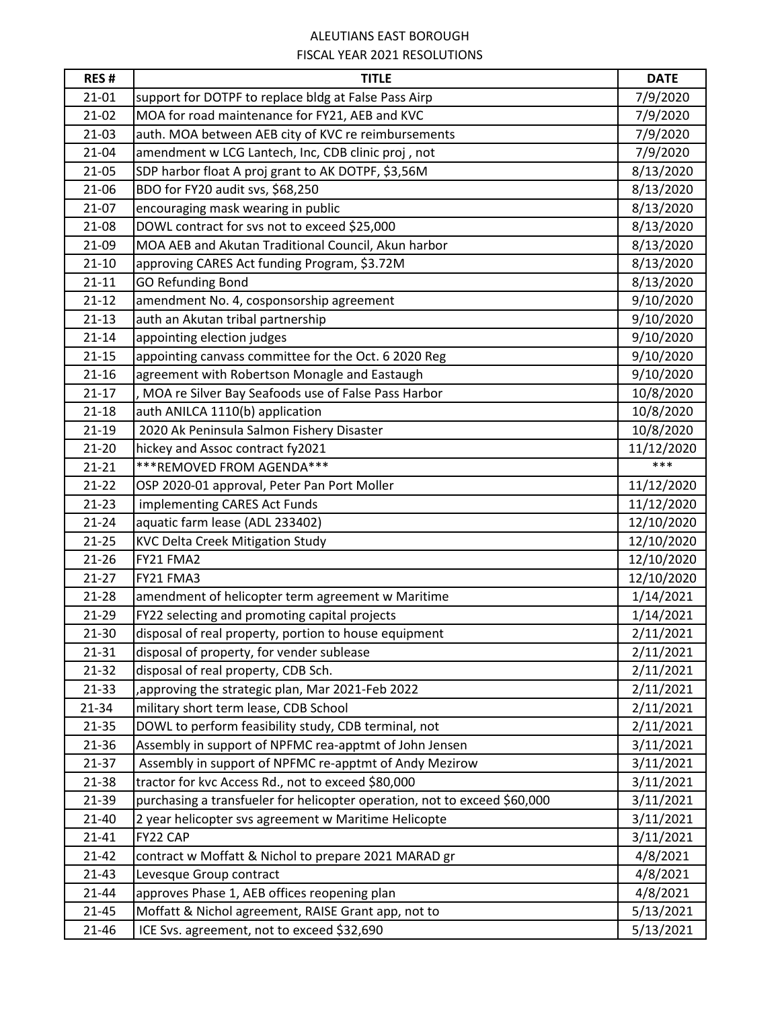## ALEUTIANS EAST BOROUGH FISCAL YEAR 2021 RESOLUTIONS

| <b>RES#</b> | <b>TITLE</b>                                                              | <b>DATE</b> |
|-------------|---------------------------------------------------------------------------|-------------|
| $21 - 01$   | support for DOTPF to replace bldg at False Pass Airp                      | 7/9/2020    |
| $21 - 02$   | MOA for road maintenance for FY21, AEB and KVC                            | 7/9/2020    |
| $21-03$     | auth. MOA between AEB city of KVC re reimbursements                       | 7/9/2020    |
| 21-04       | amendment w LCG Lantech, Inc, CDB clinic proj, not                        | 7/9/2020    |
| $21-05$     | SDP harbor float A proj grant to AK DOTPF, \$3,56M                        | 8/13/2020   |
| 21-06       | BDO for FY20 audit svs, \$68,250                                          | 8/13/2020   |
| $21-07$     | encouraging mask wearing in public                                        | 8/13/2020   |
| 21-08       | DOWL contract for svs not to exceed \$25,000                              | 8/13/2020   |
| 21-09       | MOA AEB and Akutan Traditional Council, Akun harbor                       | 8/13/2020   |
| $21 - 10$   | approving CARES Act funding Program, \$3.72M                              | 8/13/2020   |
| $21 - 11$   | <b>GO Refunding Bond</b>                                                  | 8/13/2020   |
| $21 - 12$   | amendment No. 4, cosponsorship agreement                                  | 9/10/2020   |
| $21 - 13$   | auth an Akutan tribal partnership                                         | 9/10/2020   |
| $21 - 14$   | appointing election judges                                                | 9/10/2020   |
| $21 - 15$   | appointing canvass committee for the Oct. 6 2020 Reg                      | 9/10/2020   |
| $21 - 16$   | agreement with Robertson Monagle and Eastaugh                             | 9/10/2020   |
| $21 - 17$   | , MOA re Silver Bay Seafoods use of False Pass Harbor                     | 10/8/2020   |
| $21 - 18$   | auth ANILCA 1110(b) application                                           | 10/8/2020   |
| $21-19$     | 2020 Ak Peninsula Salmon Fishery Disaster                                 | 10/8/2020   |
| $21 - 20$   | hickey and Assoc contract fy2021                                          | 11/12/2020  |
| $21 - 21$   | *** REMOVED FROM AGENDA***                                                | ***         |
| $21 - 22$   | OSP 2020-01 approval, Peter Pan Port Moller                               | 11/12/2020  |
| $21 - 23$   | implementing CARES Act Funds                                              | 11/12/2020  |
| $21 - 24$   | aquatic farm lease (ADL 233402)                                           | 12/10/2020  |
| $21 - 25$   | <b>KVC Delta Creek Mitigation Study</b>                                   | 12/10/2020  |
| $21 - 26$   | FY21 FMA2                                                                 | 12/10/2020  |
| $21-27$     | FY21 FMA3                                                                 | 12/10/2020  |
| $21 - 28$   | amendment of helicopter term agreement w Maritime                         | 1/14/2021   |
| 21-29       | FY22 selecting and promoting capital projects                             | 1/14/2021   |
| 21-30       | disposal of real property, portion to house equipment                     | 2/11/2021   |
| $21 - 31$   | disposal of property, for vender sublease                                 | 2/11/2021   |
| $21 - 32$   | disposal of real property, CDB Sch.                                       | 2/11/2021   |
| $21 - 33$   | ,approving the strategic plan, Mar 2021-Feb 2022                          | 2/11/2021   |
| $21 - 34$   | military short term lease, CDB School                                     | 2/11/2021   |
| $21 - 35$   | DOWL to perform feasibility study, CDB terminal, not                      | 2/11/2021   |
| 21-36       | Assembly in support of NPFMC rea-apptmt of John Jensen                    | 3/11/2021   |
| $21 - 37$   | Assembly in support of NPFMC re-apptmt of Andy Mezirow                    | 3/11/2021   |
| 21-38       | tractor for kvc Access Rd., not to exceed \$80,000                        | 3/11/2021   |
| 21-39       | purchasing a transfueler for helicopter operation, not to exceed \$60,000 | 3/11/2021   |
| 21-40       | 2 year helicopter svs agreement w Maritime Helicopte                      | 3/11/2021   |
| $21 - 41$   | FY22 CAP                                                                  | 3/11/2021   |
| $21 - 42$   | contract w Moffatt & Nichol to prepare 2021 MARAD gr                      | 4/8/2021    |
| $21 - 43$   | Levesque Group contract                                                   | 4/8/2021    |
| $21 - 44$   | approves Phase 1, AEB offices reopening plan                              | 4/8/2021    |
| $21 - 45$   | Moffatt & Nichol agreement, RAISE Grant app, not to                       | 5/13/2021   |
| 21-46       | ICE Svs. agreement, not to exceed \$32,690                                | 5/13/2021   |